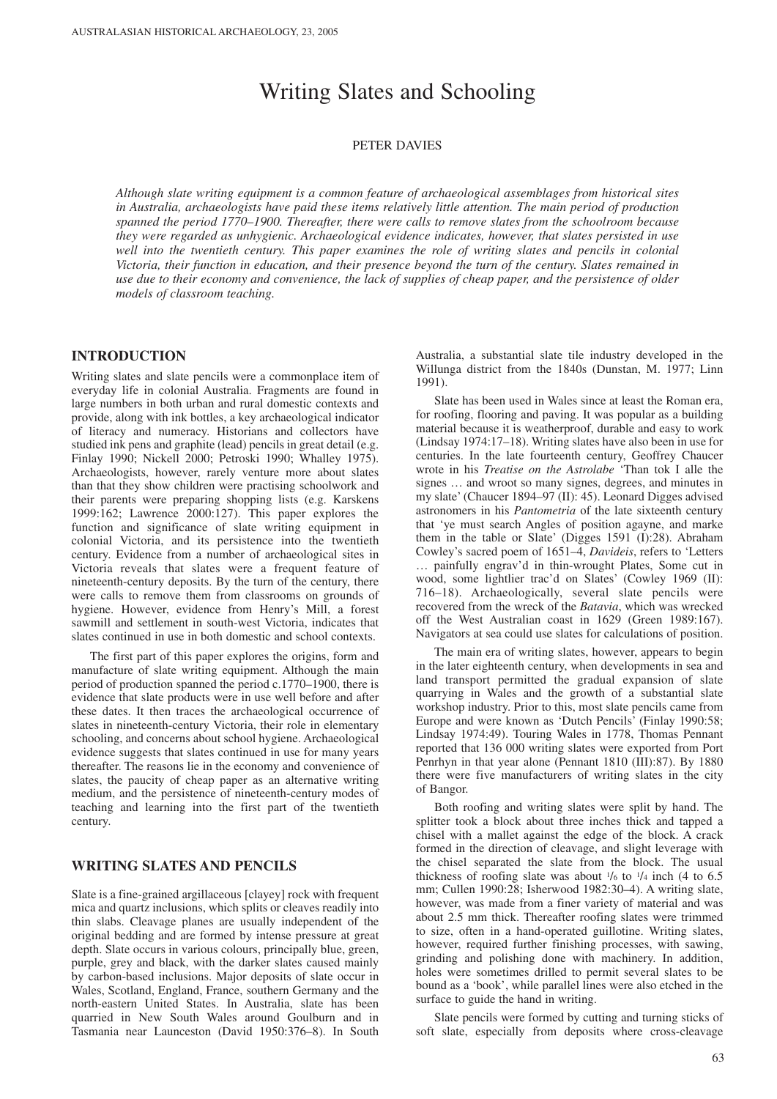# Writing Slates and Schooling

### PETER DAVIES

*Although slate writing equipment is a common feature of archaeological assemblages from historical sites in Australia, archaeologists have paid these items relatively little attention. The main period of production spanned the period 1770–1900. Thereafter, there were calls to remove slates from the schoolroom because they were regarded as unhygienic. Archaeological evidence indicates, however, that slates persisted in use well into the twentieth century. This paper examines the role of writing slates and pencils in colonial Victoria, their function in education, and their presence beyond the turn of the century. Slates remained in use due to their economy and convenience, the lack of supplies of cheap paper, and the persistence of older models of classroom teaching.*

## **INTRODUCTION**

Writing slates and slate pencils were a commonplace item of everyday life in colonial Australia. Fragments are found in large numbers in both urban and rural domestic contexts and provide, along with ink bottles, a key archaeological indicator of literacy and numeracy. Historians and collectors have studied ink pens and graphite (lead) pencils in great detail (e.g. Finlay 1990; Nickell 2000; Petroski 1990; Whalley 1975). Archaeologists, however, rarely venture more about slates than that they show children were practising schoolwork and their parents were preparing shopping lists (e.g. Karskens 1999:162; Lawrence 2000:127). This paper explores the function and significance of slate writing equipment in colonial Victoria, and its persistence into the twentieth century. Evidence from a number of archaeological sites in Victoria reveals that slates were a frequent feature of nineteenth-century deposits. By the turn of the century, there were calls to remove them from classrooms on grounds of hygiene. However, evidence from Henry's Mill, a forest sawmill and settlement in south-west Victoria, indicates that slates continued in use in both domestic and school contexts.

The first part of this paper explores the origins, form and manufacture of slate writing equipment. Although the main period of production spanned the period c.1770–1900, there is evidence that slate products were in use well before and after these dates. It then traces the archaeological occurrence of slates in nineteenth-century Victoria, their role in elementary schooling, and concerns about school hygiene. Archaeological evidence suggests that slates continued in use for many years thereafter. The reasons lie in the economy and convenience of slates, the paucity of cheap paper as an alternative writing medium, and the persistence of nineteenth-century modes of teaching and learning into the first part of the twentieth century.

## **WRITING SLATES AND PENCILS**

Slate is a fine-grained argillaceous [clayey] rock with frequent mica and quartz inclusions, which splits or cleaves readily into thin slabs. Cleavage planes are usually independent of the original bedding and are formed by intense pressure at great depth. Slate occurs in various colours, principally blue, green, purple, grey and black, with the darker slates caused mainly by carbon-based inclusions. Major deposits of slate occur in Wales, Scotland, England, France, southern Germany and the north-eastern United States. In Australia, slate has been quarried in New South Wales around Goulburn and in Tasmania near Launceston (David 1950:376–8). In South Australia, a substantial slate tile industry developed in the Willunga district from the 1840s (Dunstan, M. 1977; Linn 1991).

Slate has been used in Wales since at least the Roman era, for roofing, flooring and paving. It was popular as a building material because it is weatherproof, durable and easy to work (Lindsay 1974:17–18). Writing slates have also been in use for centuries. In the late fourteenth century, Geoffrey Chaucer wrote in his *Treatise on the Astrolabe* 'Than tok I alle the signes … and wroot so many signes, degrees, and minutes in my slate' (Chaucer 1894–97 (II): 45). Leonard Digges advised astronomers in his *Pantometria* of the late sixteenth century that 'ye must search Angles of position agayne, and marke them in the table or Slate' (Digges 1591 (I):28). Abraham Cowley's sacred poem of 1651–4, *Davideis*, refers to 'Letters … painfully engrav'd in thin-wrought Plates, Some cut in wood, some lightlier trac'd on Slates' (Cowley 1969 (II): 716–18). Archaeologically, several slate pencils were recovered from the wreck of the *Batavia*, which was wrecked off the West Australian coast in 1629 (Green 1989:167). Navigators at sea could use slates for calculations of position.

The main era of writing slates, however, appears to begin in the later eighteenth century, when developments in sea and land transport permitted the gradual expansion of slate quarrying in Wales and the growth of a substantial slate workshop industry. Prior to this, most slate pencils came from Europe and were known as 'Dutch Pencils' (Finlay 1990:58; Lindsay 1974:49). Touring Wales in 1778, Thomas Pennant reported that 136 000 writing slates were exported from Port Penrhyn in that year alone (Pennant 1810 (III):87). By 1880 there were five manufacturers of writing slates in the city of Bangor.

Both roofing and writing slates were split by hand. The splitter took a block about three inches thick and tapped a chisel with a mallet against the edge of the block. A crack formed in the direction of cleavage, and slight leverage with the chisel separated the slate from the block. The usual thickness of roofing slate was about  $\frac{1}{6}$  to  $\frac{1}{4}$  inch (4 to 6.5) mm; Cullen 1990:28; Isherwood 1982:30–4). A writing slate, however, was made from a finer variety of material and was about 2.5 mm thick. Thereafter roofing slates were trimmed to size, often in a hand-operated guillotine. Writing slates, however, required further finishing processes, with sawing, grinding and polishing done with machinery. In addition, holes were sometimes drilled to permit several slates to be bound as a 'book', while parallel lines were also etched in the surface to guide the hand in writing.

Slate pencils were formed by cutting and turning sticks of soft slate, especially from deposits where cross-cleavage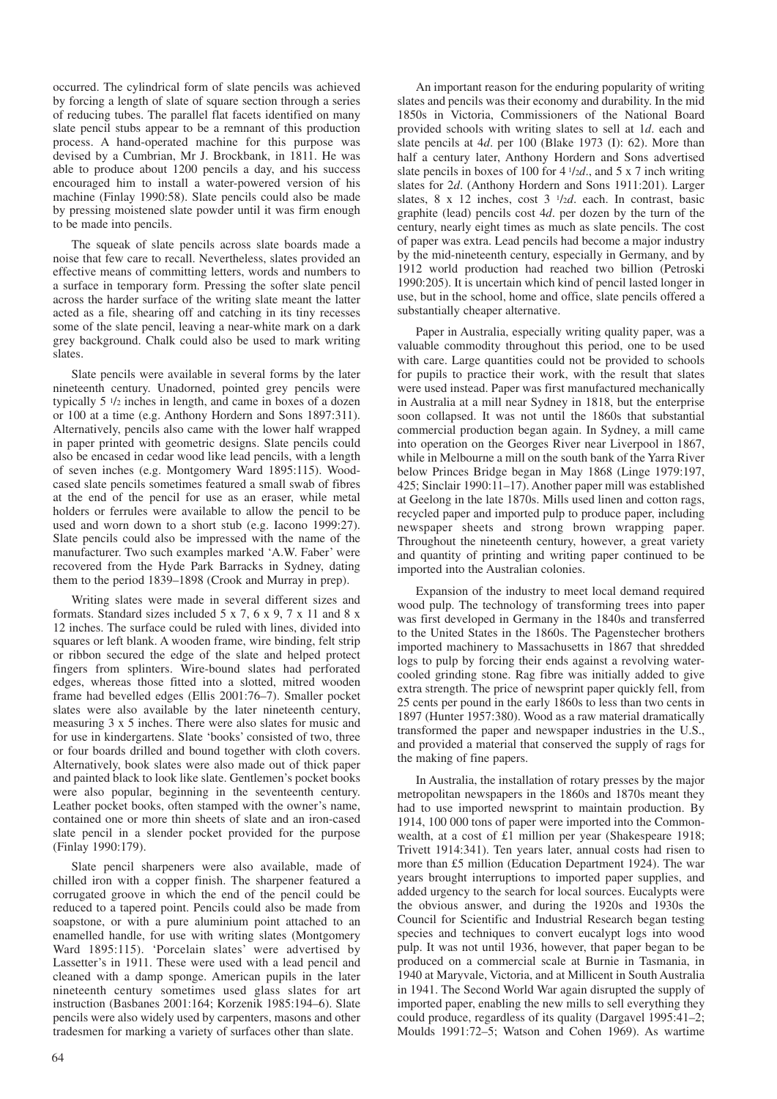occurred. The cylindrical form of slate pencils was achieved by forcing a length of slate of square section through a series of reducing tubes. The parallel flat facets identified on many slate pencil stubs appear to be a remnant of this production process. A hand-operated machine for this purpose was devised by a Cumbrian, Mr J. Brockbank, in 1811. He was able to produce about 1200 pencils a day, and his success encouraged him to install a water-powered version of his machine (Finlay 1990:58). Slate pencils could also be made by pressing moistened slate powder until it was firm enough to be made into pencils.

The squeak of slate pencils across slate boards made a noise that few care to recall. Nevertheless, slates provided an effective means of committing letters, words and numbers to a surface in temporary form. Pressing the softer slate pencil across the harder surface of the writing slate meant the latter acted as a file, shearing off and catching in its tiny recesses some of the slate pencil, leaving a near-white mark on a dark grey background. Chalk could also be used to mark writing slates.

Slate pencils were available in several forms by the later nineteenth century. Unadorned, pointed grey pencils were typically 5 1/2 inches in length, and came in boxes of a dozen or 100 at a time (e.g. Anthony Hordern and Sons 1897:311). Alternatively, pencils also came with the lower half wrapped in paper printed with geometric designs. Slate pencils could also be encased in cedar wood like lead pencils, with a length of seven inches (e.g. Montgomery Ward 1895:115). Woodcased slate pencils sometimes featured a small swab of fibres at the end of the pencil for use as an eraser, while metal holders or ferrules were available to allow the pencil to be used and worn down to a short stub (e.g. Iacono 1999:27). Slate pencils could also be impressed with the name of the manufacturer. Two such examples marked 'A.W. Faber' were recovered from the Hyde Park Barracks in Sydney, dating them to the period 1839–1898 (Crook and Murray in prep).

Writing slates were made in several different sizes and formats. Standard sizes included 5 x 7, 6 x 9, 7 x 11 and 8 x 12 inches. The surface could be ruled with lines, divided into squares or left blank. A wooden frame, wire binding, felt strip or ribbon secured the edge of the slate and helped protect fingers from splinters. Wire-bound slates had perforated edges, whereas those fitted into a slotted, mitred wooden frame had bevelled edges (Ellis 2001:76–7). Smaller pocket slates were also available by the later nineteenth century, measuring 3 x 5 inches. There were also slates for music and for use in kindergartens. Slate 'books' consisted of two, three or four boards drilled and bound together with cloth covers. Alternatively, book slates were also made out of thick paper and painted black to look like slate. Gentlemen's pocket books were also popular, beginning in the seventeenth century. Leather pocket books, often stamped with the owner's name, contained one or more thin sheets of slate and an iron-cased slate pencil in a slender pocket provided for the purpose (Finlay 1990:179).

Slate pencil sharpeners were also available, made of chilled iron with a copper finish. The sharpener featured a corrugated groove in which the end of the pencil could be reduced to a tapered point. Pencils could also be made from soapstone, or with a pure aluminium point attached to an enamelled handle, for use with writing slates (Montgomery Ward 1895:115). 'Porcelain slates' were advertised by Lassetter's in 1911. These were used with a lead pencil and cleaned with a damp sponge. American pupils in the later nineteenth century sometimes used glass slates for art instruction (Basbanes 2001:164; Korzenik 1985:194–6). Slate pencils were also widely used by carpenters, masons and other tradesmen for marking a variety of surfaces other than slate.

An important reason for the enduring popularity of writing slates and pencils was their economy and durability. In the mid 1850s in Victoria, Commissioners of the National Board provided schools with writing slates to sell at 1*d*. each and slate pencils at 4*d*. per 100 (Blake 1973 (I): 62). More than half a century later, Anthony Hordern and Sons advertised slate pencils in boxes of 100 for 4 1/2*d*., and 5 x 7 inch writing slates for 2*d*. (Anthony Hordern and Sons 1911:201). Larger slates, 8 x 12 inches, cost 3 1/2*d*. each. In contrast, basic graphite (lead) pencils cost 4*d*. per dozen by the turn of the century, nearly eight times as much as slate pencils. The cost of paper was extra. Lead pencils had become a major industry by the mid-nineteenth century, especially in Germany, and by 1912 world production had reached two billion (Petroski 1990:205). It is uncertain which kind of pencil lasted longer in use, but in the school, home and office, slate pencils offered a substantially cheaper alternative.

Paper in Australia, especially writing quality paper, was a valuable commodity throughout this period, one to be used with care. Large quantities could not be provided to schools for pupils to practice their work, with the result that slates were used instead. Paper was first manufactured mechanically in Australia at a mill near Sydney in 1818, but the enterprise soon collapsed. It was not until the 1860s that substantial commercial production began again. In Sydney, a mill came into operation on the Georges River near Liverpool in 1867, while in Melbourne a mill on the south bank of the Yarra River below Princes Bridge began in May 1868 (Linge 1979:197, 425; Sinclair 1990:11–17). Another paper mill was established at Geelong in the late 1870s. Mills used linen and cotton rags, recycled paper and imported pulp to produce paper, including newspaper sheets and strong brown wrapping paper. Throughout the nineteenth century, however, a great variety and quantity of printing and writing paper continued to be imported into the Australian colonies.

Expansion of the industry to meet local demand required wood pulp. The technology of transforming trees into paper was first developed in Germany in the 1840s and transferred to the United States in the 1860s. The Pagenstecher brothers imported machinery to Massachusetts in 1867 that shredded logs to pulp by forcing their ends against a revolving watercooled grinding stone. Rag fibre was initially added to give extra strength. The price of newsprint paper quickly fell, from 25 cents per pound in the early 1860s to less than two cents in 1897 (Hunter 1957:380). Wood as a raw material dramatically transformed the paper and newspaper industries in the U.S., and provided a material that conserved the supply of rags for the making of fine papers.

In Australia, the installation of rotary presses by the major metropolitan newspapers in the 1860s and 1870s meant they had to use imported newsprint to maintain production. By 1914, 100 000 tons of paper were imported into the Commonwealth, at a cost of £1 million per year (Shakespeare 1918; Trivett 1914:341). Ten years later, annual costs had risen to more than £5 million (Education Department 1924). The war years brought interruptions to imported paper supplies, and added urgency to the search for local sources. Eucalypts were the obvious answer, and during the 1920s and 1930s the Council for Scientific and Industrial Research began testing species and techniques to convert eucalypt logs into wood pulp. It was not until 1936, however, that paper began to be produced on a commercial scale at Burnie in Tasmania, in 1940 at Maryvale, Victoria, and at Millicent in South Australia in 1941. The Second World War again disrupted the supply of imported paper, enabling the new mills to sell everything they could produce, regardless of its quality (Dargavel 1995:41–2; Moulds 1991:72–5; Watson and Cohen 1969). As wartime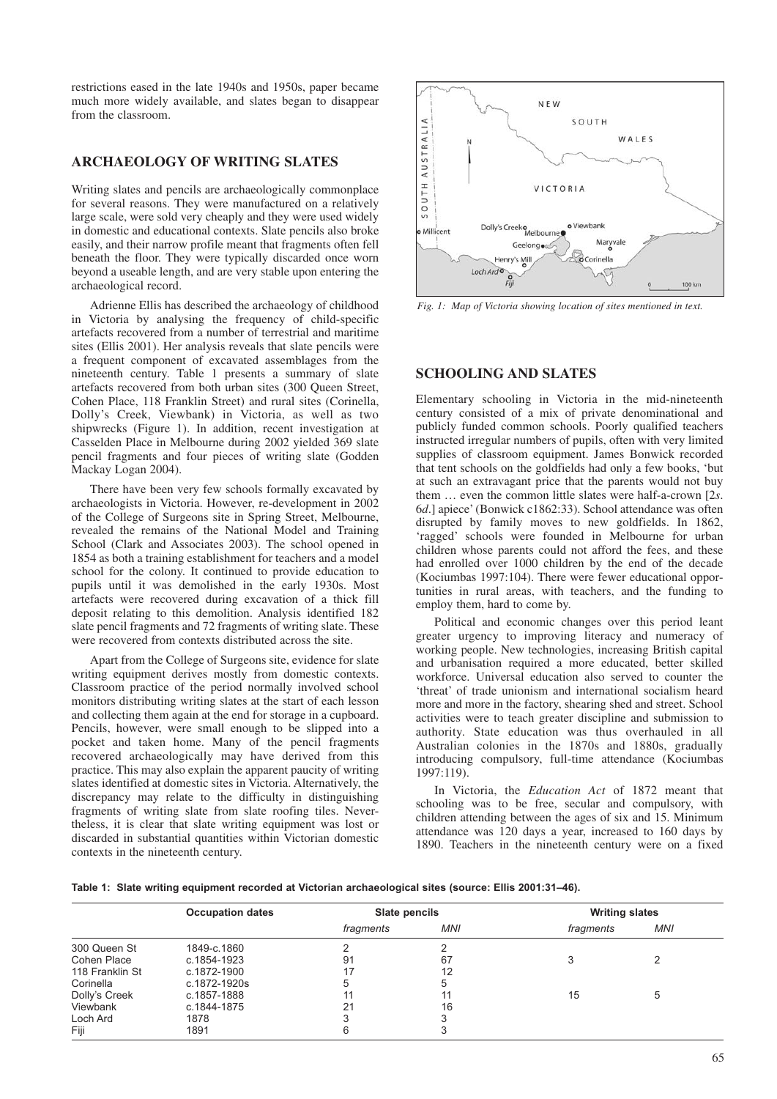restrictions eased in the late 1940s and 1950s, paper became much more widely available, and slates began to disappear from the classroom.

## **ARCHAEOLOGY OF WRITING SLATES**

Writing slates and pencils are archaeologically commonplace for several reasons. They were manufactured on a relatively large scale, were sold very cheaply and they were used widely in domestic and educational contexts. Slate pencils also broke easily, and their narrow profile meant that fragments often fell beneath the floor. They were typically discarded once worn beyond a useable length, and are very stable upon entering the archaeological record.

Adrienne Ellis has described the archaeology of childhood in Victoria by analysing the frequency of child-specific artefacts recovered from a number of terrestrial and maritime sites (Ellis 2001). Her analysis reveals that slate pencils were a frequent component of excavated assemblages from the nineteenth century. Table 1 presents a summary of slate artefacts recovered from both urban sites (300 Queen Street, Cohen Place, 118 Franklin Street) and rural sites (Corinella, Dolly's Creek, Viewbank) in Victoria, as well as two shipwrecks (Figure 1). In addition, recent investigation at Casselden Place in Melbourne during 2002 yielded 369 slate pencil fragments and four pieces of writing slate (Godden Mackay Logan 2004).

There have been very few schools formally excavated by archaeologists in Victoria. However, re-development in 2002 of the College of Surgeons site in Spring Street, Melbourne, revealed the remains of the National Model and Training School (Clark and Associates 2003). The school opened in 1854 as both a training establishment for teachers and a model school for the colony. It continued to provide education to pupils until it was demolished in the early 1930s. Most artefacts were recovered during excavation of a thick fill deposit relating to this demolition. Analysis identified 182 slate pencil fragments and 72 fragments of writing slate. These were recovered from contexts distributed across the site.

Apart from the College of Surgeons site, evidence for slate writing equipment derives mostly from domestic contexts. Classroom practice of the period normally involved school monitors distributing writing slates at the start of each lesson and collecting them again at the end for storage in a cupboard. Pencils, however, were small enough to be slipped into a pocket and taken home. Many of the pencil fragments recovered archaeologically may have derived from this practice. This may also explain the apparent paucity of writing slates identified at domestic sites in Victoria. Alternatively, the discrepancy may relate to the difficulty in distinguishing fragments of writing slate from slate roofing tiles. Nevertheless, it is clear that slate writing equipment was lost or discarded in substantial quantities within Victorian domestic contexts in the nineteenth century.



*Fig. 1: Map of Victoria showing location of sites mentioned in text.*

## **SCHOOLING AND SLATES**

Elementary schooling in Victoria in the mid-nineteenth century consisted of a mix of private denominational and publicly funded common schools. Poorly qualified teachers instructed irregular numbers of pupils, often with very limited supplies of classroom equipment. James Bonwick recorded that tent schools on the goldfields had only a few books, 'but at such an extravagant price that the parents would not buy them … even the common little slates were half-a-crown [2*s*. 6*d*.] apiece' (Bonwick c1862:33). School attendance was often disrupted by family moves to new goldfields. In 1862, 'ragged' schools were founded in Melbourne for urban children whose parents could not afford the fees, and these had enrolled over 1000 children by the end of the decade (Kociumbas 1997:104). There were fewer educational opportunities in rural areas, with teachers, and the funding to employ them, hard to come by.

Political and economic changes over this period leant greater urgency to improving literacy and numeracy of working people. New technologies, increasing British capital and urbanisation required a more educated, better skilled workforce. Universal education also served to counter the 'threat' of trade unionism and international socialism heard more and more in the factory, shearing shed and street. School activities were to teach greater discipline and submission to authority. State education was thus overhauled in all Australian colonies in the 1870s and 1880s, gradually introducing compulsory, full-time attendance (Kociumbas 1997:119).

In Victoria, the *Education Act* of 1872 meant that schooling was to be free, secular and compulsory, with children attending between the ages of six and 15. Minimum attendance was 120 days a year, increased to 160 days by 1890. Teachers in the nineteenth century were on a fixed

|  |  | .(31–46) Table 1:  Slate writing equipment recorded at Victorian archaeological sites (source: Ellis 2001 |  |  |  |
|--|--|-----------------------------------------------------------------------------------------------------------|--|--|--|
|  |  |                                                                                                           |  |  |  |

|                 | <b>Occupation dates</b> | Slate pencils |            | <b>Writing slates</b> |            |  |
|-----------------|-------------------------|---------------|------------|-----------------------|------------|--|
|                 |                         | fragments     | <b>MNI</b> | fragments             | <b>MNI</b> |  |
| 300 Queen St    | 1849-c.1860             |               | ◠          |                       |            |  |
| Cohen Place     | c.1854-1923             | 91            | 67         |                       |            |  |
| 118 Franklin St | c.1872-1900             |               | 12         |                       |            |  |
| Corinella       | c.1872-1920s            | 5             | 5          |                       |            |  |
| Dolly's Creek   | c.1857-1888             |               |            | 15                    | 5          |  |
| Viewbank        | c.1844-1875             | 21            | 16         |                       |            |  |
| Loch Ard        | 1878                    |               |            |                       |            |  |
| Fiji            | 1891                    | 6             |            |                       |            |  |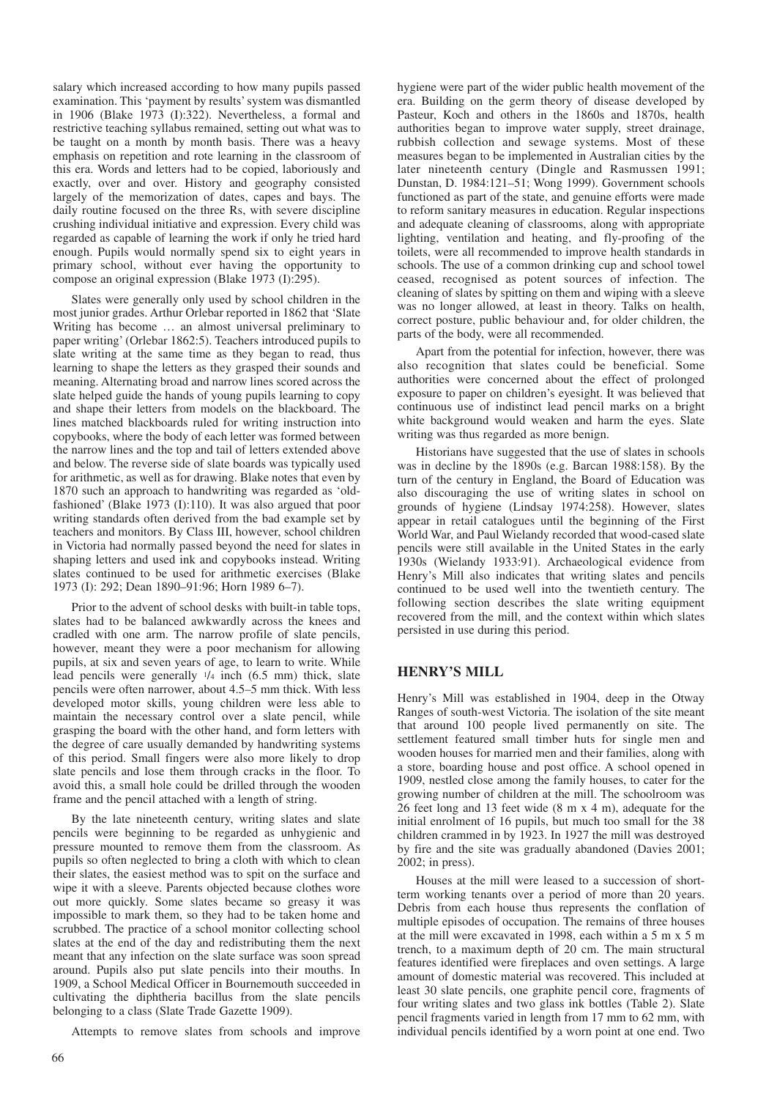salary which increased according to how many pupils passed examination. This 'payment by results' system was dismantled in 1906 (Blake 1973 (I):322). Nevertheless, a formal and restrictive teaching syllabus remained, setting out what was to be taught on a month by month basis. There was a heavy emphasis on repetition and rote learning in the classroom of this era. Words and letters had to be copied, laboriously and exactly, over and over. History and geography consisted largely of the memorization of dates, capes and bays. The daily routine focused on the three Rs, with severe discipline crushing individual initiative and expression. Every child was regarded as capable of learning the work if only he tried hard enough. Pupils would normally spend six to eight years in primary school, without ever having the opportunity to compose an original expression (Blake 1973 (I):295).

Slates were generally only used by school children in the most junior grades. Arthur Orlebar reported in 1862 that 'Slate Writing has become … an almost universal preliminary to paper writing' (Orlebar 1862:5). Teachers introduced pupils to slate writing at the same time as they began to read, thus learning to shape the letters as they grasped their sounds and meaning. Alternating broad and narrow lines scored across the slate helped guide the hands of young pupils learning to copy and shape their letters from models on the blackboard. The lines matched blackboards ruled for writing instruction into copybooks, where the body of each letter was formed between the narrow lines and the top and tail of letters extended above and below. The reverse side of slate boards was typically used for arithmetic, as well as for drawing. Blake notes that even by 1870 such an approach to handwriting was regarded as 'oldfashioned' (Blake 1973 (I):110). It was also argued that poor writing standards often derived from the bad example set by teachers and monitors. By Class III, however, school children in Victoria had normally passed beyond the need for slates in shaping letters and used ink and copybooks instead. Writing slates continued to be used for arithmetic exercises (Blake 1973 (I): 292; Dean 1890–91:96; Horn 1989 6–7).

Prior to the advent of school desks with built-in table tops, slates had to be balanced awkwardly across the knees and cradled with one arm. The narrow profile of slate pencils, however, meant they were a poor mechanism for allowing pupils, at six and seven years of age, to learn to write. While lead pencils were generally 1/4 inch (6.5 mm) thick, slate pencils were often narrower, about 4.5–5 mm thick. With less developed motor skills, young children were less able to maintain the necessary control over a slate pencil, while grasping the board with the other hand, and form letters with the degree of care usually demanded by handwriting systems of this period. Small fingers were also more likely to drop slate pencils and lose them through cracks in the floor. To avoid this, a small hole could be drilled through the wooden frame and the pencil attached with a length of string.

By the late nineteenth century, writing slates and slate pencils were beginning to be regarded as unhygienic and pressure mounted to remove them from the classroom. As pupils so often neglected to bring a cloth with which to clean their slates, the easiest method was to spit on the surface and wipe it with a sleeve. Parents objected because clothes wore out more quickly. Some slates became so greasy it was impossible to mark them, so they had to be taken home and scrubbed. The practice of a school monitor collecting school slates at the end of the day and redistributing them the next meant that any infection on the slate surface was soon spread around. Pupils also put slate pencils into their mouths. In 1909, a School Medical Officer in Bournemouth succeeded in cultivating the diphtheria bacillus from the slate pencils belonging to a class (Slate Trade Gazette 1909).

Attempts to remove slates from schools and improve

hygiene were part of the wider public health movement of the era. Building on the germ theory of disease developed by Pasteur, Koch and others in the 1860s and 1870s, health authorities began to improve water supply, street drainage, rubbish collection and sewage systems. Most of these measures began to be implemented in Australian cities by the later nineteenth century (Dingle and Rasmussen 1991; Dunstan, D. 1984:121–51; Wong 1999). Government schools functioned as part of the state, and genuine efforts were made to reform sanitary measures in education. Regular inspections and adequate cleaning of classrooms, along with appropriate lighting, ventilation and heating, and fly-proofing of the toilets, were all recommended to improve health standards in schools. The use of a common drinking cup and school towel ceased, recognised as potent sources of infection. The cleaning of slates by spitting on them and wiping with a sleeve was no longer allowed, at least in theory. Talks on health, correct posture, public behaviour and, for older children, the parts of the body, were all recommended.

Apart from the potential for infection, however, there was also recognition that slates could be beneficial. Some authorities were concerned about the effect of prolonged exposure to paper on children's eyesight. It was believed that continuous use of indistinct lead pencil marks on a bright white background would weaken and harm the eyes. Slate writing was thus regarded as more benign.

Historians have suggested that the use of slates in schools was in decline by the 1890s (e.g. Barcan 1988:158). By the turn of the century in England, the Board of Education was also discouraging the use of writing slates in school on grounds of hygiene (Lindsay 1974:258). However, slates appear in retail catalogues until the beginning of the First World War, and Paul Wielandy recorded that wood-cased slate pencils were still available in the United States in the early 1930s (Wielandy 1933:91). Archaeological evidence from Henry's Mill also indicates that writing slates and pencils continued to be used well into the twentieth century. The following section describes the slate writing equipment recovered from the mill, and the context within which slates persisted in use during this period.

### **HENRY'S MILL**

Henry's Mill was established in 1904, deep in the Otway Ranges of south-west Victoria. The isolation of the site meant that around 100 people lived permanently on site. The settlement featured small timber huts for single men and wooden houses for married men and their families, along with a store, boarding house and post office. A school opened in 1909, nestled close among the family houses, to cater for the growing number of children at the mill. The schoolroom was 26 feet long and 13 feet wide (8 m x 4 m), adequate for the initial enrolment of 16 pupils, but much too small for the 38 children crammed in by 1923. In 1927 the mill was destroyed by fire and the site was gradually abandoned (Davies 2001; 2002; in press).

Houses at the mill were leased to a succession of shortterm working tenants over a period of more than 20 years. Debris from each house thus represents the conflation of multiple episodes of occupation. The remains of three houses at the mill were excavated in 1998, each within a 5 m x 5 m trench, to a maximum depth of 20 cm. The main structural features identified were fireplaces and oven settings. A large amount of domestic material was recovered. This included at least 30 slate pencils, one graphite pencil core, fragments of four writing slates and two glass ink bottles (Table 2). Slate pencil fragments varied in length from 17 mm to 62 mm, with individual pencils identified by a worn point at one end. Two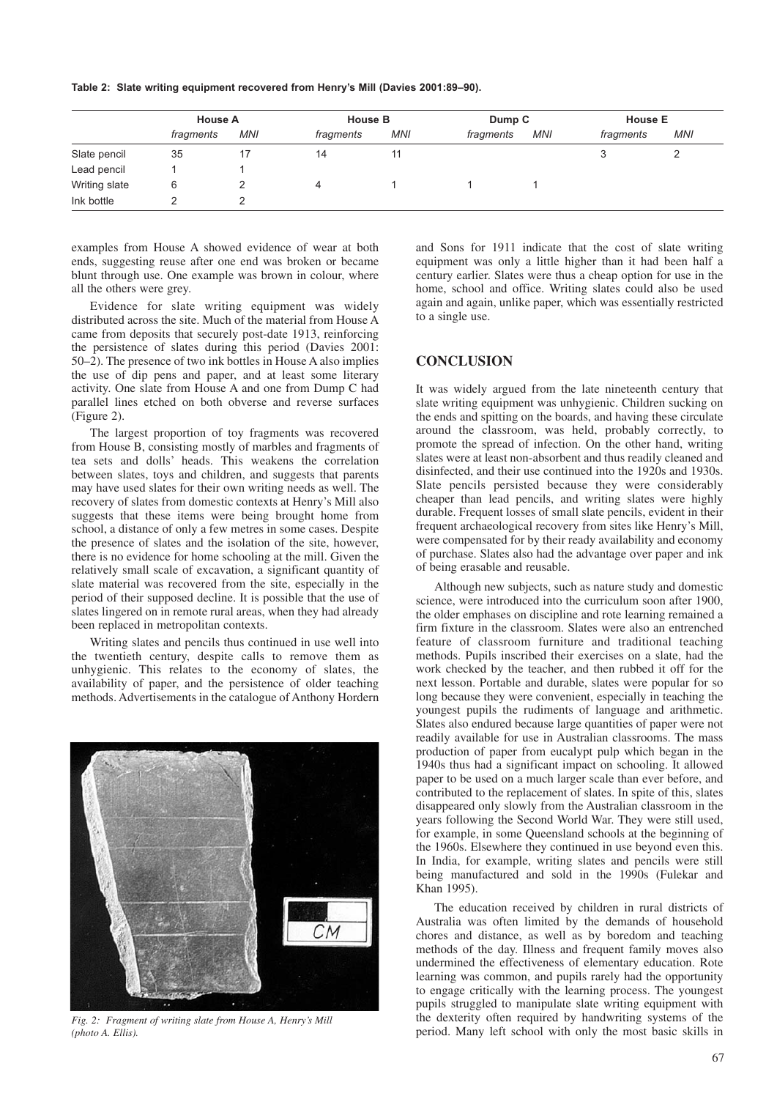**Table 2: Slate writing equipment recovered from Henry's Mill (Davies 2001:89–90).**

|               | <b>House A</b> |            | <b>House B</b> |            | Dump C    |            | <b>House E</b> |            |
|---------------|----------------|------------|----------------|------------|-----------|------------|----------------|------------|
|               | fragments      | <b>MNI</b> | fragments      | <b>MNI</b> | fragments | <b>MNI</b> | fragments      | <b>MNI</b> |
| Slate pencil  | 35             |            | 14             | 11         |           |            |                | ⌒          |
| Lead pencil   |                |            |                |            |           |            |                |            |
| Writing slate | 6              |            |                |            |           |            |                |            |
| Ink bottle    |                |            |                |            |           |            |                |            |

examples from House A showed evidence of wear at both ends, suggesting reuse after one end was broken or became blunt through use. One example was brown in colour, where all the others were grey.

Evidence for slate writing equipment was widely distributed across the site. Much of the material from House A came from deposits that securely post-date 1913, reinforcing the persistence of slates during this period (Davies 2001: 50–2). The presence of two ink bottles in House A also implies the use of dip pens and paper, and at least some literary activity. One slate from House A and one from Dump C had parallel lines etched on both obverse and reverse surfaces (Figure 2).

The largest proportion of toy fragments was recovered from House B, consisting mostly of marbles and fragments of tea sets and dolls' heads. This weakens the correlation between slates, toys and children, and suggests that parents may have used slates for their own writing needs as well. The recovery of slates from domestic contexts at Henry's Mill also suggests that these items were being brought home from school, a distance of only a few metres in some cases. Despite the presence of slates and the isolation of the site, however, there is no evidence for home schooling at the mill. Given the relatively small scale of excavation, a significant quantity of slate material was recovered from the site, especially in the period of their supposed decline. It is possible that the use of slates lingered on in remote rural areas, when they had already been replaced in metropolitan contexts.

Writing slates and pencils thus continued in use well into the twentieth century, despite calls to remove them as unhygienic. This relates to the economy of slates, the availability of paper, and the persistence of older teaching methods. Advertisements in the catalogue of Anthony Hordern



*Fig. 2: Fragment of writing slate from House A, Henry's Mill (photo A. Ellis).*

and Sons for 1911 indicate that the cost of slate writing equipment was only a little higher than it had been half a century earlier. Slates were thus a cheap option for use in the home, school and office. Writing slates could also be used again and again, unlike paper, which was essentially restricted to a single use.

### **CONCLUSION**

It was widely argued from the late nineteenth century that slate writing equipment was unhygienic. Children sucking on the ends and spitting on the boards, and having these circulate around the classroom, was held, probably correctly, to promote the spread of infection. On the other hand, writing slates were at least non-absorbent and thus readily cleaned and disinfected, and their use continued into the 1920s and 1930s. Slate pencils persisted because they were considerably cheaper than lead pencils, and writing slates were highly durable. Frequent losses of small slate pencils, evident in their frequent archaeological recovery from sites like Henry's Mill, were compensated for by their ready availability and economy of purchase. Slates also had the advantage over paper and ink of being erasable and reusable.

Although new subjects, such as nature study and domestic science, were introduced into the curriculum soon after 1900, the older emphases on discipline and rote learning remained a firm fixture in the classroom. Slates were also an entrenched feature of classroom furniture and traditional teaching methods. Pupils inscribed their exercises on a slate, had the work checked by the teacher, and then rubbed it off for the next lesson. Portable and durable, slates were popular for so long because they were convenient, especially in teaching the youngest pupils the rudiments of language and arithmetic. Slates also endured because large quantities of paper were not readily available for use in Australian classrooms. The mass production of paper from eucalypt pulp which began in the 1940s thus had a significant impact on schooling. It allowed paper to be used on a much larger scale than ever before, and contributed to the replacement of slates. In spite of this, slates disappeared only slowly from the Australian classroom in the years following the Second World War. They were still used, for example, in some Queensland schools at the beginning of the 1960s. Elsewhere they continued in use beyond even this. In India, for example, writing slates and pencils were still being manufactured and sold in the 1990s (Fulekar and Khan 1995).

The education received by children in rural districts of Australia was often limited by the demands of household chores and distance, as well as by boredom and teaching methods of the day. Illness and frequent family moves also undermined the effectiveness of elementary education. Rote learning was common, and pupils rarely had the opportunity to engage critically with the learning process. The youngest pupils struggled to manipulate slate writing equipment with the dexterity often required by handwriting systems of the period. Many left school with only the most basic skills in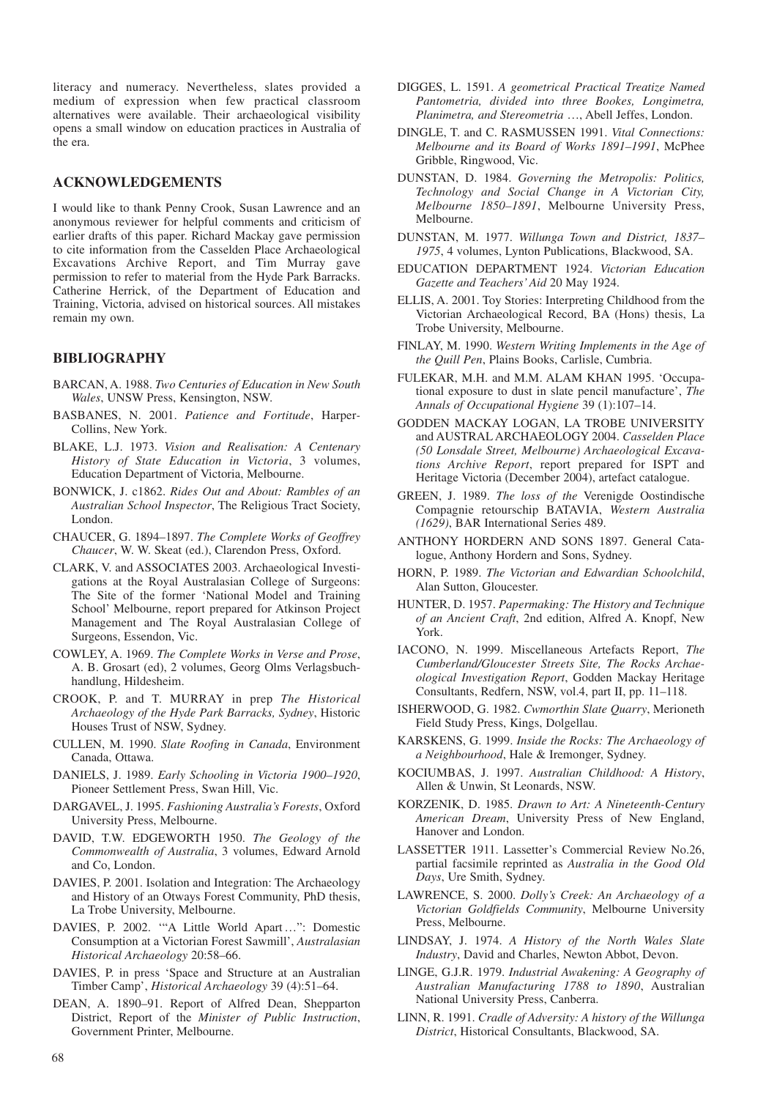literacy and numeracy. Nevertheless, slates provided a medium of expression when few practical classroom alternatives were available. Their archaeological visibility opens a small window on education practices in Australia of the era.

## **ACKNOWLEDGEMENTS**

I would like to thank Penny Crook, Susan Lawrence and an anonymous reviewer for helpful comments and criticism of earlier drafts of this paper. Richard Mackay gave permission to cite information from the Casselden Place Archaeological Excavations Archive Report, and Tim Murray gave permission to refer to material from the Hyde Park Barracks. Catherine Herrick, of the Department of Education and Training, Victoria, advised on historical sources. All mistakes remain my own.

### **BIBLIOGRAPHY**

- BARCAN, A. 1988. *Two Centuries of Education in New South Wales*, UNSW Press, Kensington, NSW.
- BASBANES, N. 2001. *Patience and Fortitude*, Harper*-*Collins, New York.
- BLAKE, L.J. 1973. *Vision and Realisation: A Centenary History of State Education in Victoria*, 3 volumes, Education Department of Victoria, Melbourne.
- BONWICK, J. c1862. *Rides Out and About: Rambles of an Australian School Inspector*, The Religious Tract Society, London.
- CHAUCER, G. 1894–1897. *The Complete Works of Geoffrey Chaucer*, W. W. Skeat (ed.), Clarendon Press, Oxford.
- CLARK, V. and ASSOCIATES 2003. Archaeological Investigations at the Royal Australasian College of Surgeons: The Site of the former 'National Model and Training School' Melbourne, report prepared for Atkinson Project Management and The Royal Australasian College of Surgeons, Essendon, Vic.
- COWLEY, A. 1969. *The Complete Works in Verse and Prose*, A. B. Grosart (ed), 2 volumes, Georg Olms Verlagsbuchhandlung, Hildesheim.
- CROOK, P. and T. MURRAY in prep *The Historical Archaeology of the Hyde Park Barracks, Sydney*, Historic Houses Trust of NSW, Sydney.
- CULLEN, M. 1990. *Slate Roofing in Canada*, Environment Canada, Ottawa.
- DANIELS, J. 1989. *Early Schooling in Victoria 1900–1920*, Pioneer Settlement Press, Swan Hill, Vic.
- DARGAVEL, J. 1995. *Fashioning Australia's Forests*, Oxford University Press, Melbourne.
- DAVID, T.W. EDGEWORTH 1950. *The Geology of the Commonwealth of Australia*, 3 volumes, Edward Arnold and Co, London.
- DAVIES, P. 2001. Isolation and Integration: The Archaeology and History of an Otways Forest Community, PhD thesis, La Trobe University, Melbourne.
- DAVIES, P. 2002. '"A Little World Apart …": Domestic Consumption at a Victorian Forest Sawmill', *Australasian Historical Archaeology* 20:58–66.
- DAVIES, P. in press 'Space and Structure at an Australian Timber Camp', *Historical Archaeology* 39 (4):51–64.
- DEAN, A. 1890–91. Report of Alfred Dean, Shepparton District, Report of the *Minister of Public Instruction*, Government Printer, Melbourne.
- DIGGES, L. 1591. *A geometrical Practical Treatize Named Pantometria, divided into three Bookes, Longimetra, Planimetra, and Stereometria* …, Abell Jeffes, London.
- DINGLE, T. and C. RASMUSSEN 1991. *Vital Connections: Melbourne and its Board of Works 1891–1991*, McPhee Gribble, Ringwood, Vic.
- DUNSTAN, D. 1984. *Governing the Metropolis: Politics, Technology and Social Change in A Victorian City, Melbourne 1850–1891*, Melbourne University Press, Melbourne.
- DUNSTAN, M. 1977. *Willunga Town and District, 1837– 1975*, 4 volumes, Lynton Publications, Blackwood, SA.
- EDUCATION DEPARTMENT 1924. *Victorian Education Gazette and Teachers' Aid* 20 May 1924.
- ELLIS, A. 2001. Toy Stories: Interpreting Childhood from the Victorian Archaeological Record, BA (Hons) thesis, La Trobe University, Melbourne.
- FINLAY, M. 1990. *Western Writing Implements in the Age of the Quill Pen*, Plains Books, Carlisle, Cumbria.
- FULEKAR, M.H. and M.M. ALAM KHAN 1995. 'Occupational exposure to dust in slate pencil manufacture', *The Annals of Occupational Hygiene* 39 (1):107–14.
- GODDEN MACKAY LOGAN, LA TROBE UNIVERSITY and AUSTRAL ARCHAEOLOGY 2004. *Casselden Place (50 Lonsdale Street, Melbourne) Archaeological Excavations Archive Report*, report prepared for ISPT and Heritage Victoria (December 2004), artefact catalogue.
- GREEN, J. 1989. *The loss of the* Verenigde Oostindische Compagnie retourschip BATAVIA, *Western Australia (1629)*, BAR International Series 489.
- ANTHONY HORDERN AND SONS 1897. General Catalogue, Anthony Hordern and Sons, Sydney.
- HORN, P. 1989. *The Victorian and Edwardian Schoolchild*, Alan Sutton, Gloucester.
- HUNTER, D. 1957. *Papermaking: The History and Technique of an Ancient Craft*, 2nd edition, Alfred A. Knopf, New York.
- IACONO, N. 1999. Miscellaneous Artefacts Report, *The Cumberland/Gloucester Streets Site, The Rocks Archaeological Investigation Report*, Godden Mackay Heritage Consultants, Redfern, NSW, vol.4, part II, pp. 11–118.
- ISHERWOOD, G. 1982. *Cwmorthin Slate Quarry*, Merioneth Field Study Press, Kings, Dolgellau.
- KARSKENS, G. 1999. *Inside the Rocks: The Archaeology of a Neighbourhood*, Hale & Iremonger, Sydney.
- KOCIUMBAS, J. 1997. *Australian Childhood: A History*, Allen & Unwin, St Leonards, NSW.
- KORZENIK, D. 1985. *Drawn to Art: A Nineteenth-Century American Dream*, University Press of New England, Hanover and London.
- LASSETTER 1911. Lassetter's Commercial Review No.26, partial facsimile reprinted as *Australia in the Good Old Days*, Ure Smith, Sydney.
- LAWRENCE, S. 2000. *Dolly's Creek: An Archaeology of a Victorian Goldfields Community*, Melbourne University Press, Melbourne.
- LINDSAY, J. 1974. *A History of the North Wales Slate Industry*, David and Charles, Newton Abbot, Devon.
- LINGE, G.J.R. 1979. *Industrial Awakening: A Geography of Australian Manufacturing 1788 to 1890*, Australian National University Press, Canberra.
- LINN, R. 1991. *Cradle of Adversity: A history of the Willunga District*, Historical Consultants, Blackwood, SA.